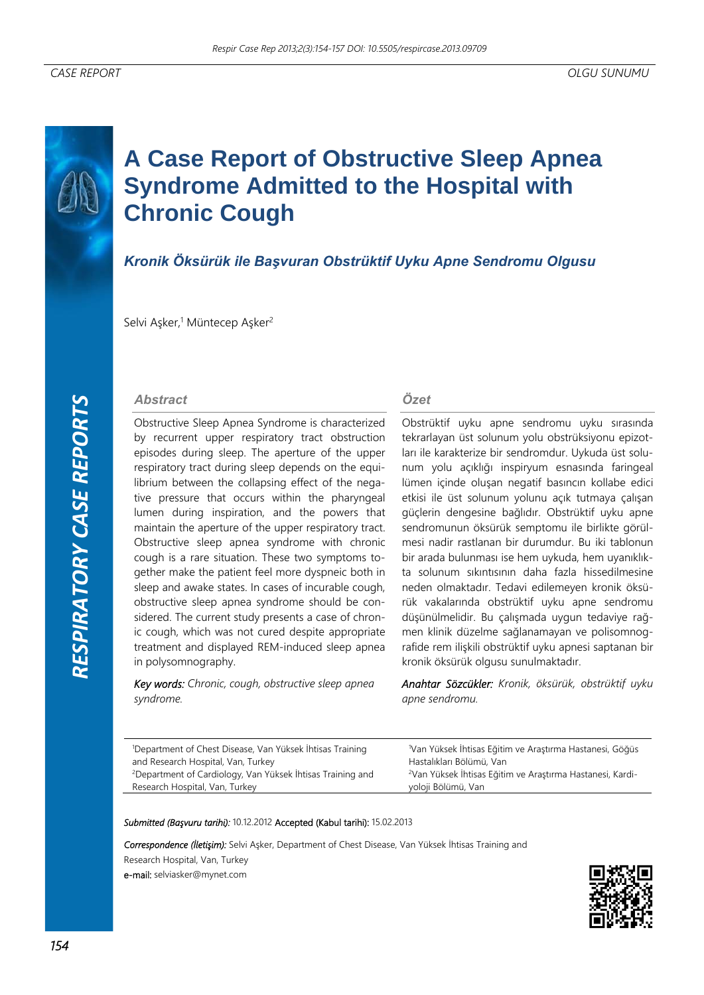# **A Case Report of Obstructive Sleep Apnea Syndrome Admitted to the Hospital with Chronic Cough**

## *Kronik Öksürük ile Başvuran Obstrüktif Uyku Apne Sendromu Olgusu*

Selvi Aşker,<sup>1</sup> Müntecep Aşker<sup>2</sup>

#### *Abstract*

Obstructive Sleep Apnea Syndrome is characterized by recurrent upper respiratory tract obstruction episodes during sleep. The aperture of the upper respiratory tract during sleep depends on the equilibrium between the collapsing effect of the negative pressure that occurs within the pharyngeal lumen during inspiration, and the powers that maintain the aperture of the upper respiratory tract. Obstructive sleep apnea syndrome with chronic cough is a rare situation. These two symptoms together make the patient feel more dyspneic both in sleep and awake states. In cases of incurable cough, obstructive sleep apnea syndrome should be considered. The current study presents a case of chronic cough, which was not cured despite appropriate treatment and displayed REM-induced sleep apnea in polysomnography.

*Key words: Chronic, cough, obstructive sleep apnea syndrome.* 

#### *Özet*

Obstrüktif uyku apne sendromu uyku sırasında tekrarlayan üst solunum yolu obstrüksiyonu epizotları ile karakterize bir sendromdur. Uykuda üst solunum yolu açıklığı inspiryum esnasında faringeal lümen içinde oluşan negatif basıncın kollabe edici etkisi ile üst solunum yolunu açık tutmaya çalışan güçlerin dengesine bağlıdır. Obstrüktif uyku apne sendromunun öksürük semptomu ile birlikte görülmesi nadir rastlanan bir durumdur. Bu iki tablonun bir arada bulunması ise hem uykuda, hem uyanıklıkta solunum sıkıntısının daha fazla hissedilmesine neden olmaktadır. Tedavi edilemeyen kronik öksürük vakalarında obstrüktif uyku apne sendromu düşünülmelidir. Bu çalışmada uygun tedaviye rağmen klinik düzelme sağlanamayan ve polisomnografide rem ilişkili obstrüktif uyku apnesi saptanan bir kronik öksürük olgusu sunulmaktadır.

*Anahtar Sözcükler: Kronik, öksürük, obstrüktif uyku apne sendromu.* 

1 Department of Chest Disease, Van Yüksek İhtisas Training and Research Hospital, Van, Turkey Department of Cardiology, Van Yüksek İhtisas Training and Research Hospital, Van, Turkey

1 Van Yüksek İhtisas Eğitim ve Araştırma Hastanesi, Göğüs Hastalıkları Bölümü, Van 2 Van Yüksek İhtisas Eğitim ve Araştırma Hastanesi, Kardiyoloji Bölümü, Van

*Submitted (Başvuru tarihi):* 10.12.2012 Accepted (Kabul tarihi): 15.02.2013

*Correspondence (İletişim):* Selvi Aşker, Department of Chest Disease, Van Yüksek İhtisas Training and Research Hospital, Van, Turkey e-mail: selviasker@mynet.com

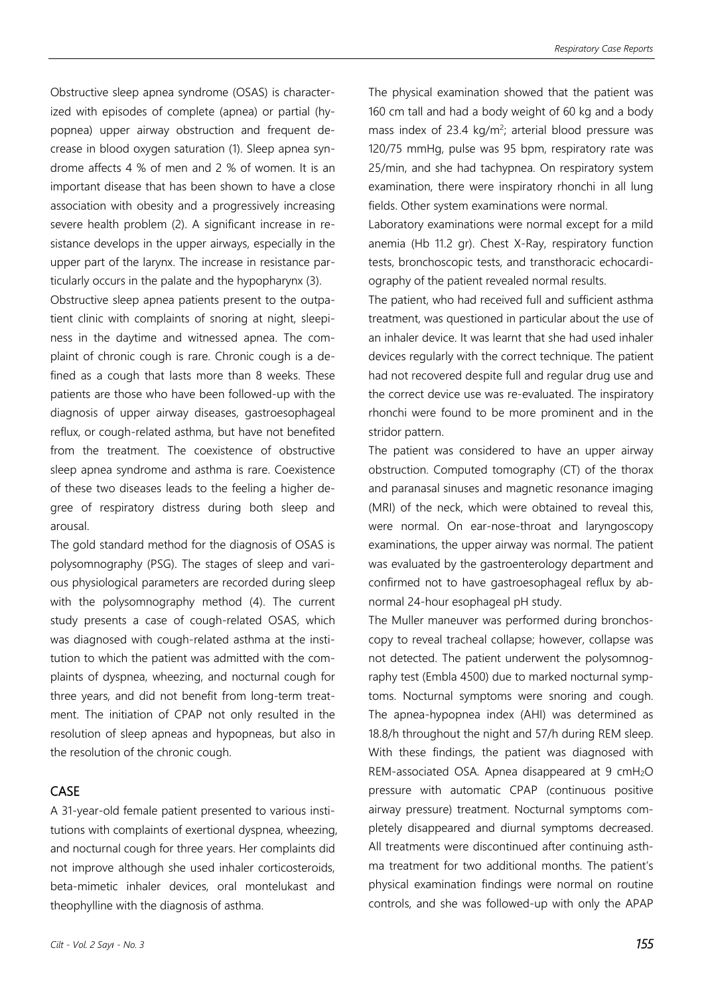Obstructive sleep apnea syndrome (OSAS) is characterized with episodes of complete (apnea) or partial (hypopnea) upper airway obstruction and frequent decrease in blood oxygen saturation (1). Sleep apnea syndrome affects 4 % of men and 2 % of women. It is an important disease that has been shown to have a close association with obesity and a progressively increasing severe health problem (2). A significant increase in resistance develops in the upper airways, especially in the upper part of the larynx. The increase in resistance particularly occurs in the palate and the hypopharynx (3).

Obstructive sleep apnea patients present to the outpatient clinic with complaints of snoring at night, sleepiness in the daytime and witnessed apnea. The complaint of chronic cough is rare. Chronic cough is a defined as a cough that lasts more than 8 weeks. These patients are those who have been followed-up with the diagnosis of upper airway diseases, gastroesophageal reflux, or cough-related asthma, but have not benefited from the treatment. The coexistence of obstructive sleep apnea syndrome and asthma is rare. Coexistence of these two diseases leads to the feeling a higher degree of respiratory distress during both sleep and arousal.

The gold standard method for the diagnosis of OSAS is polysomnography (PSG). The stages of sleep and various physiological parameters are recorded during sleep with the polysomnography method (4). The current study presents a case of cough-related OSAS, which was diagnosed with cough-related asthma at the institution to which the patient was admitted with the complaints of dyspnea, wheezing, and nocturnal cough for three years, and did not benefit from long-term treatment. The initiation of CPAP not only resulted in the resolution of sleep apneas and hypopneas, but also in the resolution of the chronic cough.

### CASE

A 31-year-old female patient presented to various institutions with complaints of exertional dyspnea, wheezing, and nocturnal cough for three years. Her complaints did not improve although she used inhaler corticosteroids, beta-mimetic inhaler devices, oral montelukast and theophylline with the diagnosis of asthma.

The physical examination showed that the patient was 160 cm tall and had a body weight of 60 kg and a body mass index of 23.4 kg/m<sup>2</sup>; arterial blood pressure was 120/75 mmHg, pulse was 95 bpm, respiratory rate was 25/min, and she had tachypnea. On respiratory system examination, there were inspiratory rhonchi in all lung fields. Other system examinations were normal.

Laboratory examinations were normal except for a mild anemia (Hb 11.2 gr). Chest X-Ray, respiratory function tests, bronchoscopic tests, and transthoracic echocardiography of the patient revealed normal results.

The patient, who had received full and sufficient asthma treatment, was questioned in particular about the use of an inhaler device. It was learnt that she had used inhaler devices regularly with the correct technique. The patient had not recovered despite full and regular drug use and the correct device use was re-evaluated. The inspiratory rhonchi were found to be more prominent and in the stridor pattern.

The patient was considered to have an upper airway obstruction. Computed tomography (CT) of the thorax and paranasal sinuses and magnetic resonance imaging (MRI) of the neck, which were obtained to reveal this, were normal. On ear-nose-throat and laryngoscopy examinations, the upper airway was normal. The patient was evaluated by the gastroenterology department and confirmed not to have gastroesophageal reflux by abnormal 24-hour esophageal pH study.

The Muller maneuver was performed during bronchoscopy to reveal tracheal collapse; however, collapse was not detected. The patient underwent the polysomnography test (Embla 4500) due to marked nocturnal symptoms. Nocturnal symptoms were snoring and cough. The apnea-hypopnea index (AHI) was determined as 18.8/h throughout the night and 57/h during REM sleep. With these findings, the patient was diagnosed with REM-associated OSA. Apnea disappeared at 9 cmH2O pressure with automatic CPAP (continuous positive airway pressure) treatment. Nocturnal symptoms completely disappeared and diurnal symptoms decreased. All treatments were discontinued after continuing asthma treatment for two additional months. The patient's physical examination findings were normal on routine controls, and she was followed-up with only the APAP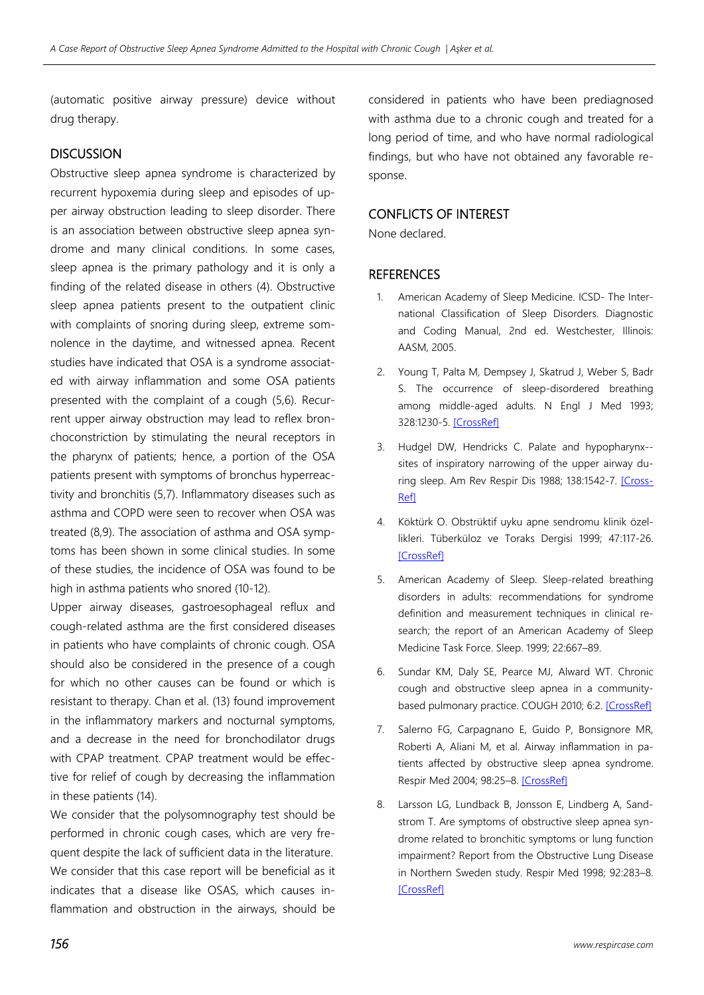(automatic positive airway pressure) device without drug therapy.

#### **DISCUSSION**

Obstructive sleep apnea syndrome is characterized by recurrent hypoxemia during sleep and episodes of upper airway obstruction leading to sleep disorder. There is an association between obstructive sleep apnea syndrome and many clinical conditions. In some cases, sleep apnea is the primary pathology and it is only a finding of the related disease in others (4). Obstructive sleep apnea patients present to the outpatient clinic with complaints of snoring during sleep, extreme somnolence in the daytime, and witnessed apnea. Recent studies have indicated that OSA is a syndrome associated with airway inflammation and some OSA patients presented with the complaint of a cough (5,6). Recurrent upper airway obstruction may lead to reflex bronchoconstriction by stimulating the neural receptors in the pharynx of patients; hence, a portion of the OSA patients present with symptoms of bronchus hyperreactivity and bronchitis (5,7). Inflammatory diseases such as asthma and COPD were seen to recover when OSA was treated (8,9). The association of asthma and OSA symptoms has been shown in some clinical studies. In some of these studies, the incidence of OSA was found to be high in asthma patients who snored (10-12).

Upper airway diseases, gastroesophageal reflux and cough-related asthma are the first considered diseases in patients who have complaints of chronic cough. OSA should also be considered in the presence of a cough for which no other causes can be found or which is resistant to therapy. Chan et al. (13) found improvement in the inflammatory markers and nocturnal symptoms, and a decrease in the need for bronchodilator drugs with CPAP treatment. CPAP treatment would be effective for relief of cough by decreasing the inflammation in these patients (14).

We consider that the polysomnography test should be performed in chronic cough cases, which are very frequent despite the lack of sufficient data in the literature. We consider that this case report will be beneficial as it indicates that a disease like OSAS, which causes inflammation and obstruction in the airways, should be considered in patients who have been prediagnosed with asthma due to a chronic cough and treated for a long period of time, and who have normal radiological findings, but who have not obtained any favorable response.

## CONFLICTS OF INTEREST

None declared.

#### **REFERENCES**

- 1. American Academy of Sleep Medicine. ICSD- The International Classification of Sleep Disorders. Diagnostic and Coding Manual, 2nd ed. Westchester, Illinois: AASM, 2005.
- 2. Young T, Palta M, Dempsey J, Skatrud J, Weber S, Badr S. The occurrence of sleep-disordered breathing among middle-aged adults. N Engl J Med 1993; 328:1230-5. [CrossRef]
- 3. Hudgel DW, Hendricks C. Palate and hypopharynx- sites of inspiratory narrowing of the upper airway during sleep. Am Rev Respir Dis 1988; 138:1542-7. [Cross-Ref]
- 4. Köktürk O. Obstrüktif uyku apne sendromu klinik özellikleri. Tüberküloz ve Toraks Dergisi 1999; 47:117-26. **[CrossRef]**
- 5. American Academy of Sleep. Sleep-related breathing disorders in adults: recommendations for syndrome definition and measurement techniques in clinical research; the report of an American Academy of Sleep Medicine Task Force. Sleep. 1999; 22:667–89.
- 6. Sundar KM, Daly SE, Pearce MJ, Alward WT. Chronic cough and obstructive sleep apnea in a communitybased pulmonary practice. COUGH 2010; 6:2. [CrossRef]
- 7. Salerno FG, Carpagnano E, Guido P, Bonsignore MR, Roberti A, Aliani M, et al. Airway inflammation in patients affected by obstructive sleep apnea syndrome. Respir Med 2004; 98:25–8. [CrossRef]
- 8. Larsson LG, Lundback B, Jonsson E, Lindberg A, Sandstrom T. Are symptoms of obstructive sleep apnea syndrome related to bronchitic symptoms or lung function impairment? Report from the Obstructive Lung Disease in Northern Sweden study. Respir Med 1998; 92:283–8. **[CrossRef]**